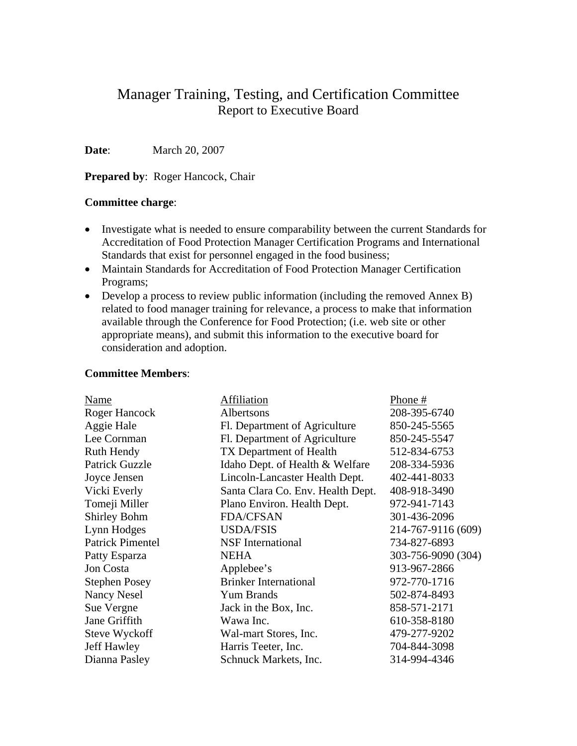# Manager Training, Testing, and Certification Committee Report to Executive Board

**Date**: March 20, 2007

**Prepared by: Roger Hancock, Chair** 

# **Committee charge**:

- Investigate what is needed to ensure comparability between the current Standards for Accreditation of Food Protection Manager Certification Programs and International Standards that exist for personnel engaged in the food business;
- Maintain Standards for Accreditation of Food Protection Manager Certification Programs;
- Develop a process to review public information (including the removed Annex B) related to food manager training for relevance, a process to make that information available through the Conference for Food Protection; (i.e. web site or other appropriate means), and submit this information to the executive board for consideration and adoption.

#### **Committee Members**:

| Name                    | Affiliation                       | Phone #            |
|-------------------------|-----------------------------------|--------------------|
| Roger Hancock           | Albertsons                        | 208-395-6740       |
| Aggie Hale              | Fl. Department of Agriculture     | 850-245-5565       |
| Lee Cornman             | Fl. Department of Agriculture     | 850-245-5547       |
| Ruth Hendy              | TX Department of Health           | 512-834-6753       |
| <b>Patrick Guzzle</b>   | Idaho Dept. of Health & Welfare   | 208-334-5936       |
| Joyce Jensen            | Lincoln-Lancaster Health Dept.    | 402-441-8033       |
| Vicki Everly            | Santa Clara Co. Env. Health Dept. | 408-918-3490       |
| Tomeji Miller           | Plano Environ. Health Dept.       | 972-941-7143       |
| <b>Shirley Bohm</b>     | <b>FDA/CFSAN</b>                  | 301-436-2096       |
| Lynn Hodges             | <b>USDA/FSIS</b>                  | 214-767-9116 (609) |
| <b>Patrick Pimentel</b> | <b>NSF</b> International          | 734-827-6893       |
| Patty Esparza           | <b>NEHA</b>                       | 303-756-9090 (304) |
| Jon Costa               | Applebee's                        | 913-967-2866       |
| <b>Stephen Posey</b>    | <b>Brinker International</b>      | 972-770-1716       |
| <b>Nancy Nesel</b>      | Yum Brands                        | 502-874-8493       |
| Sue Vergne              | Jack in the Box, Inc.             | 858-571-2171       |
| Jane Griffith           | Wawa Inc.                         | 610-358-8180       |
| Steve Wyckoff           | Wal-mart Stores, Inc.             | 479-277-9202       |
| <b>Jeff Hawley</b>      | Harris Teeter, Inc.               | 704-844-3098       |
| Dianna Pasley           | Schnuck Markets, Inc.             | 314-994-4346       |